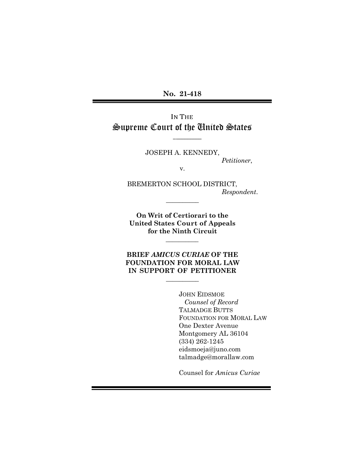**No. 21-418**

IN THE Supreme Court of the United States

JOSEPH A. KENNEDY,

 $\overline{\phantom{a}}$ 

*Petitioner*,

v.

BREMERTON SCHOOL DISTRICT, *Respondent*.

**On Writ of Certiorari to the United States Court of Appeals for the Ninth Circuit**

 $\overline{\phantom{a}}$ 

\_\_\_\_\_\_\_\_\_\_

**BRIEF** *AMICUS CURIAE* **OF THE FOUNDATION FOR MORAL LAW IN SUPPORT OF PETITIONER**

 $\frac{1}{2}$ 

JOHN EIDSMOE *Counsel of Record* TALMADGE BUTTS FOUNDATION FOR MORAL LAW One Dexter Avenue Montgomery AL 36104 (334) 262-1245 eidsmoeja@juno.com talmadge@morallaw.com

Counsel for *Amicus Curiae*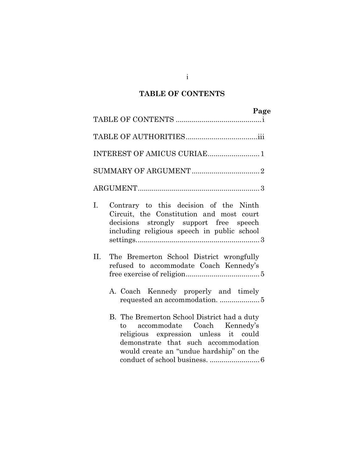# **TABLE OF CONTENTS**

|     |                                                                                                                                                                                                         | Page |
|-----|---------------------------------------------------------------------------------------------------------------------------------------------------------------------------------------------------------|------|
|     |                                                                                                                                                                                                         |      |
|     |                                                                                                                                                                                                         |      |
|     | INTEREST OF AMICUS CURIAE 1                                                                                                                                                                             |      |
|     |                                                                                                                                                                                                         |      |
|     |                                                                                                                                                                                                         |      |
| I.  | Contrary to this decision of the Ninth<br>Circuit, the Constitution and most court<br>decisions strongly support free speech<br>including religious speech in public school                             |      |
| II. | The Bremerton School District wrongfully<br>refused to accommodate Coach Kennedy's<br>A. Coach Kennedy properly and timely<br>requested an accommodation.  5                                            |      |
|     | B. The Bremerton School District had a duty<br>to accommodate Coach Kennedy's<br>religious expression unless it could<br>demonstrate that such accommodation<br>would create an "undue hardship" on the |      |

i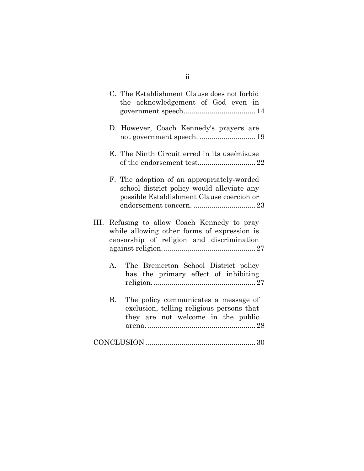|      |                | C. The Establishment Clause does not forbid<br>the acknowledgement of God even in                                                     |
|------|----------------|---------------------------------------------------------------------------------------------------------------------------------------|
|      |                | D. However, Coach Kennedy's prayers are<br>not government speech.  19                                                                 |
|      |                | E. The Ninth Circuit erred in its use/misuse                                                                                          |
|      |                | F. The adoption of an appropriately-worded<br>school district policy would alleviate any<br>possible Establishment Clause coercion or |
| III. |                | Refusing to allow Coach Kennedy to pray<br>while allowing other forms of expression is<br>censorship of religion and discrimination   |
|      | $\mathbf{A}$ . | The Bremerton School District policy<br>has the primary effect of inhibiting                                                          |
|      | <b>B.</b>      | The policy communicates a message of<br>exclusion, telling religious persons that<br>they are not welcome in the public               |
|      |                |                                                                                                                                       |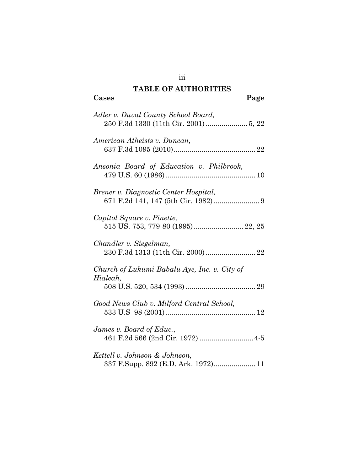## **TABLE OF AUTHORITIES**

| Cases<br>Page                                                        |
|----------------------------------------------------------------------|
| Adler v. Duval County School Board,                                  |
| American Atheists v. Duncan,                                         |
| Ansonia Board of Education v. Philbrook,                             |
| Brener v. Diagnostic Center Hospital,                                |
| Capitol Square v. Pinette,                                           |
| Chandler v. Siegelman,                                               |
| Church of Lukumi Babalu Aye, Inc. v. City of<br>Hialeah,             |
| Good News Club v. Milford Central School,                            |
| James v. Board of Educ.,                                             |
| Kettell v. Johnson & Johnson,<br>337 F.Supp. 892 (E.D. Ark. 1972) 11 |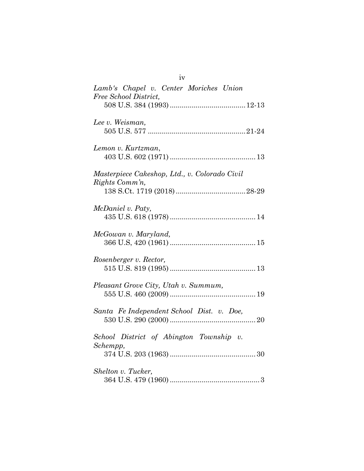| Lamb's Chapel v. Center Moriches Union<br>Free School District, |
|-----------------------------------------------------------------|
|                                                                 |
| Lee v. Weisman,                                                 |
| Lemon v. Kurtzman,                                              |
| Masterpiece Cakeshop, Ltd., v. Colorado Civil<br>Rights Comm'n, |
| McDaniel v. Paty,                                               |
| McGowan v. Maryland,                                            |
| Rosenberger v. Rector,                                          |
| Pleasant Grove City, Utah v. Summum,                            |
| Santa Fe Independent School Dist. v. Doe,                       |
| School District of Abington Township v.<br>Schempp,             |
| Shelton v. Tucker,                                              |

iv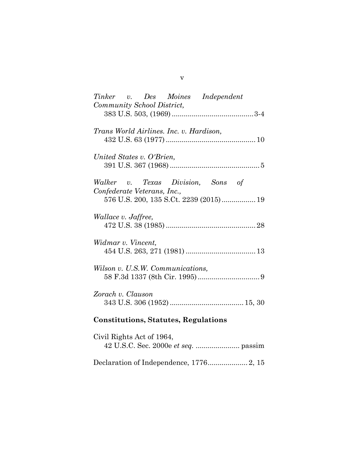| Tinker v. Des Moines Independent<br>Community School District,                                             |
|------------------------------------------------------------------------------------------------------------|
|                                                                                                            |
| Trans World Airlines. Inc. v. Hardison,                                                                    |
| United States v. O'Brien,                                                                                  |
| Walker v. Texas Division, Sons of<br>Confederate Veterans, Inc.,<br>576 U.S. 200, 135 S.Ct. 2239 (2015) 19 |
| <i>Wallace v. Jaffree,</i>                                                                                 |
| Widmar v. Vincent,                                                                                         |
| Wilson v. U.S.W. Communications,                                                                           |
| Zorach v. Clauson                                                                                          |
| <b>Constitutions, Statutes, Regulations</b>                                                                |
| Civil Rights Act of 1964,                                                                                  |

Declaration of Independence, 1776.................... 2, 15

v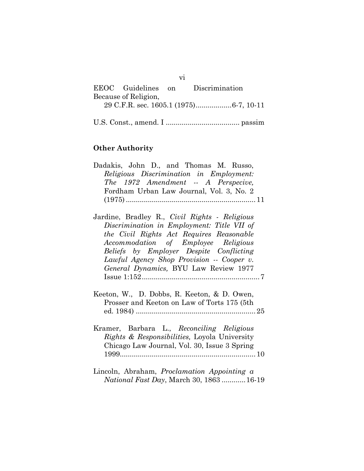| EEOC Guidelines on   | Discrimination |
|----------------------|----------------|
| Because of Religion, |                |
|                      |                |
|                      |                |

vi

U.S. Const., amend. I ..................................... passim

## **Other Authority**

| Dadakis, John D., and Thomas M. Russo,        |
|-----------------------------------------------|
| Religious Discrimination in Employment:       |
| The 1972 Amendment -- A Perspecive,           |
| Fordham Urban Law Journal, Vol. 3, No. 2      |
|                                               |
|                                               |
| Jardine, Bradley R., Civil Rights - Religious |

| $\alpha$ argume, bradley $\alpha$ , $\alpha$ <i>luit</i> $\alpha$ <i>leftus - neligious</i> |  |
|---------------------------------------------------------------------------------------------|--|
| Discrimination in Employment: Title VII of                                                  |  |
| the Civil Rights Act Requires Reasonable                                                    |  |
| Accommodation of Employee Religious                                                         |  |
| Beliefs by Employer Despite Conflicting                                                     |  |
| Lawful Agency Shop Provision -- Cooper v.                                                   |  |
| General Dynamics, BYU Law Review 1977                                                       |  |
|                                                                                             |  |
|                                                                                             |  |

- Keeton, W., D. Dobbs, R. Keeton, & D. Owen, Prosser and Keeton on Law of Torts 175 (5th ed. 1984) ............................................................25
- Kramer, Barbara L., *Reconciling Religious Rights & Responsibilities,* Loyola University Chicago Law Journal, Vol. 30, Issue 3 Spring 1999....................................................................10
- Lincoln, Abraham, *Proclamation Appointing a National Fast Day*, March 30, 1863 ............16-19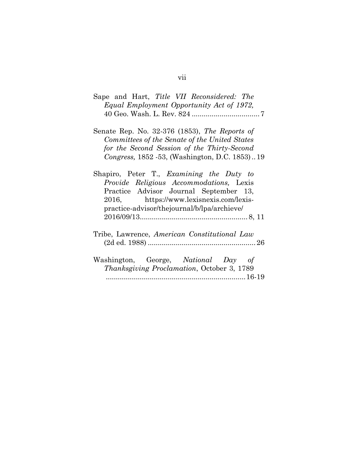| Sape and Hart, <i>Title VII Reconsidered: The</i><br>Equal Employment Opportunity Act of 1972,                                                                                                                          |
|-------------------------------------------------------------------------------------------------------------------------------------------------------------------------------------------------------------------------|
| Senate Rep. No. 32-376 (1853), The Reports of<br>Committees of the Senate of the United States<br>for the Second Session of the Thirty-Second<br>Congress, 1852 - 53, (Washington, D.C. 1853)19                         |
| Shapiro, Peter T., Examining the Duty to<br>Provide Religious Accommodations, Lexis<br>Practice Advisor Journal September 13,<br>2016, https://www.lexisnexis.com/lexis-<br>practice-advisor/thejournal/b/lpa/archieve/ |
| Tribe, Lawrence, American Constitutional Law                                                                                                                                                                            |
| Washington, George, National Day of<br><i>Thanksgiving Proclamation, October 3, 1789</i>                                                                                                                                |

## vii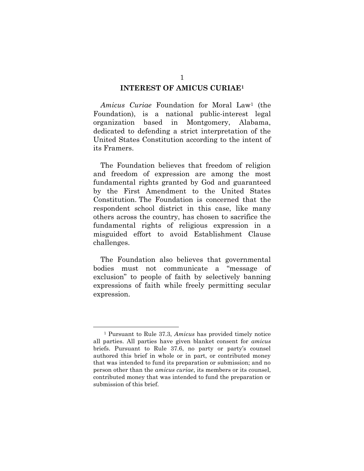#### **INTEREST OF AMICUS CURIAE<sup>1</sup>**

*Amicus Curiae* Foundation for Moral Law<sup>1</sup> (the Foundation), is a national public-interest legal organization based in Montgomery, Alabama, dedicated to defending a strict interpretation of the United States Constitution according to the intent of its Framers.

The Foundation believes that freedom of religion and freedom of expression are among the most fundamental rights granted by God and guaranteed by the First Amendment to the United States Constitution. The Foundation is concerned that the respondent school district in this case, like many others across the country, has chosen to sacrifice the fundamental rights of religious expression in a misguided effort to avoid Establishment Clause challenges.

The Foundation also believes that governmental bodies must not communicate a "message of exclusion" to people of faith by selectively banning expressions of faith while freely permitting secular expression.

<sup>1</sup> Pursuant to Rule 37.3, *Amicus* has provided timely notice all parties. All parties have given blanket consent for *amicus*  briefs. Pursuant to Rule 37.6, no party or party's counsel authored this brief in whole or in part, or contributed money that was intended to fund its preparation or submission; and no person other than the *amicus curiae*, its members or its counsel, contributed money that was intended to fund the preparation or submission of this brief.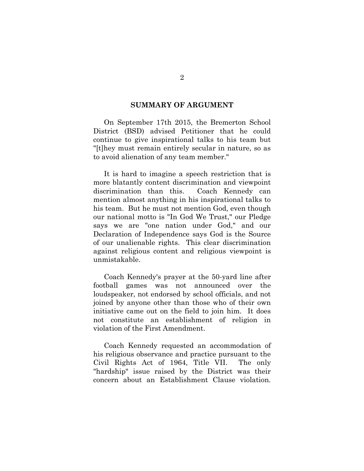#### **SUMMARY OF ARGUMENT**

On September 17th 2015, the Bremerton School District (BSD) advised Petitioner that he could continue to give inspirational talks to his team but "[t]hey must remain entirely secular in nature, so as to avoid alienation of any team member."

It is hard to imagine a speech restriction that is more blatantly content discrimination and viewpoint discrimination than this. Coach Kennedy can mention almost anything in his inspirational talks to his team. But he must not mention God, even though our national motto is "In God We Trust," our Pledge says we are "one nation under God," and our Declaration of Independence says God is the Source of our unalienable rights. This clear discrimination against religious content and religious viewpoint is unmistakable.

Coach Kennedy's prayer at the 50-yard line after football games was not announced over the loudspeaker, not endorsed by school officials, and not joined by anyone other than those who of their own initiative came out on the field to join him. It does not constitute an establishment of religion in violation of the First Amendment.

Coach Kennedy requested an accommodation of his religious observance and practice pursuant to the Civil Rights Act of 1964, Title VII. The only "hardship" issue raised by the District was their concern about an Establishment Clause violation.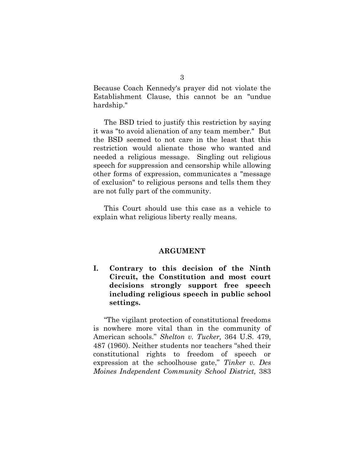Because Coach Kennedy's prayer did not violate the Establishment Clause, this cannot be an "undue hardship."

The BSD tried to justify this restriction by saying it was "to avoid alienation of any team member." But the BSD seemed to not care in the least that this restriction would alienate those who wanted and needed a religious message. Singling out religious speech for suppression and censorship while allowing other forms of expression, communicates a "message of exclusion" to religious persons and tells them they are not fully part of the community.

This Court should use this case as a vehicle to explain what religious liberty really means.

#### **ARGUMENT**

**I. Contrary to this decision of the Ninth Circuit, the Constitution and most court decisions strongly support free speech including religious speech in public school settings.**

"The vigilant protection of constitutional freedoms is nowhere more vital than in the community of American schools." *Shelton v. Tucker,* 364 U.S. 479, 487 (1960). Neither students nor teachers "shed their constitutional rights to freedom of speech or expression at the schoolhouse gate," *Tinker v. Des Moines Independent Community School District,* 383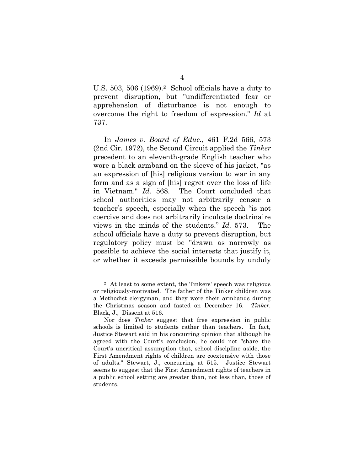U.S. 503, 506 (1969).2 School officials have a duty to prevent disruption, but "undifferentiated fear or apprehension of disturbance is not enough to overcome the right to freedom of expression." *Id* at 737.

In *James v. Board of Educ.*, 461 F.2d 566, 573 (2nd Cir. 1972), the Second Circuit applied the *Tinker*  precedent to an eleventh-grade English teacher who wore a black armband on the sleeve of his jacket, "as an expression of [his] religious version to war in any form and as a sign of [his] regret over the loss of life in Vietnam." *Id.* 568. The Court concluded that school authorities may not arbitrarily censor a teacher's speech, especially when the speech "is not coercive and does not arbitrarily inculcate doctrinaire views in the minds of the students." *Id.* 573. The school officials have a duty to prevent disruption, but regulatory policy must be "drawn as narrowly as possible to achieve the social interests that justify it, or whether it exceeds permissible bounds by unduly

<sup>2</sup> At least to some extent, the Tinkers' speech was religious or religiously-motivated. The father of the Tinker children was a Methodist clergyman, and they wore their armbands during the Christmas season and fasted on December 16. *Tinker,*  Black, J., Dissent at 516.

Nor does *Tinker* suggest that free expression in public schools is limited to students rather than teachers. In fact, Justice Stewart said in his concurring opinion that although he agreed with the Court's conclusion, he could not "share the Court's uncritical assumption that, school discipline aside, the First Amendment rights of children are coextensive with those of adults." Stewart, J., concurring at 515. Justice Stewart seems to suggest that the First Amendment rights of teachers in a public school setting are greater than, not less than, those of students.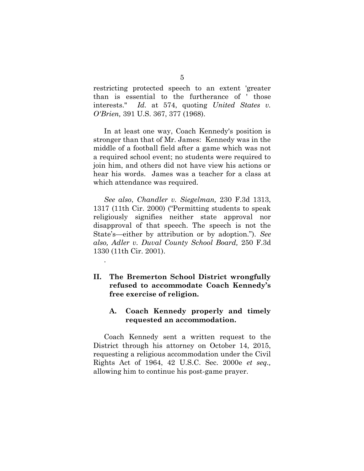restricting protected speech to an extent 'greater than is essential to the furtherance of ' those interests." *Id.* at 574, quoting *United States v. O'Brien,* 391 U.S. 367, 377 (1968).

In at least one way, Coach Kennedy's position is stronger than that of Mr. James: Kennedy was in the middle of a football field after a game which was not a required school event; no students were required to join him, and others did not have view his actions or hear his words. James was a teacher for a class at which attendance was required.

*See also*, *Chandler v. Siegelman,* 230 F.3d 1313, 1317 (11th Cir. 2000) ("Permitting students to speak religiously signifies neither state approval nor disapproval of that speech. The speech is not the State's—either by attribution or by adoption."). *See also, Adler v. Duval County School Board,* 250 F.3d 1330 (11th Cir. 2001).

**II. The Bremerton School District wrongfully refused to accommodate Coach Kennedy's free exercise of religion.** 

.

### **A. Coach Kennedy properly and timely requested an accommodation.**

Coach Kennedy sent a written request to the District through his attorney on October 14, 2015, requesting a religious accommodation under the Civil Rights Act of 1964, 42 U.S.C. Sec. 2000e *et seq.,*  allowing him to continue his post-game prayer.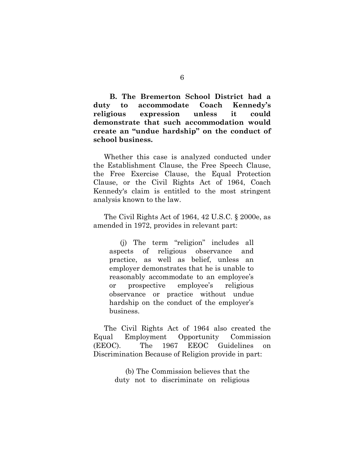**B. The Bremerton School District had a duty to accommodate Coach Kennedy's religious expression unless it could demonstrate that such accommodation would create an "undue hardship" on the conduct of school business.**

Whether this case is analyzed conducted under the Establishment Clause, the Free Speech Clause, the Free Exercise Clause, the Equal Protection Clause, or the Civil Rights Act of 1964, Coach Kennedy's claim is entitled to the most stringent analysis known to the law.

The Civil Rights Act of 1964, 42 U.S.C. § 2000e, as amended in 1972, provides in relevant part:

(j) The term "religion" includes all aspects of religious observance and practice, as well as belief, unless an employer demonstrates that he is unable to reasonably accommodate to an employee's or prospective employee's religious observance or practice without undue hardship on the conduct of the employer's business.

The Civil Rights Act of 1964 also created the Equal Employment Opportunity Commission (EEOC). The 1967 EEOC Guidelines on Discrimination Because of Religion provide in part:

> (b) The Commission believes that the duty not to discriminate on religious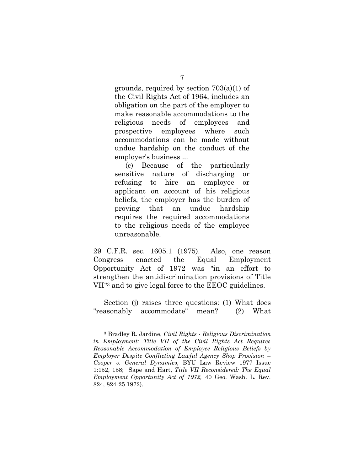grounds, required by section 703(a)(1) of the Civil Rights Act of 1964, includes an obligation on the part of the employer to make reasonable accommodations to the religious needs of employees and prospective employees where such accommodations can be made without undue hardship on the conduct of the employer's business ...

(c) Because of the particularly sensitive nature of discharging or refusing to hire an employee or applicant on account of his religious beliefs, the employer has the burden of proving that an undue hardship requires the required accommodations to the religious needs of the employee unreasonable.

29 C.F.R. sec. 1605.1 (1975). Also, one reason Congress enacted the Equal Employment Opportunity Act of 1972 was "in an effort to strengthen the antidiscrimination provisions of Title VII"<sup>3</sup> and to give legal force to the EEOC guidelines.

Section (j) raises three questions: (1) What does "reasonably accommodate" mean? (2) What

<sup>3</sup> Bradley R. Jardine, *Civil Rights - Religious Discrimination in Employment: Title VII of the Civil Rights Act Requires Reasonable Accommodation of Employee Religious Beliefs by Employer Despite Conflicting Lawful Agency Shop Provision -- Cooper v. General Dynamics,* BYU Law Review 1977 Issue 1:152, 158; Sape and Hart, *Title VII Reconsidered: The Equal Employment Opportunity Act of 1972,* 40 Geo. Wash. L. Rev. 824, 824-25 1972).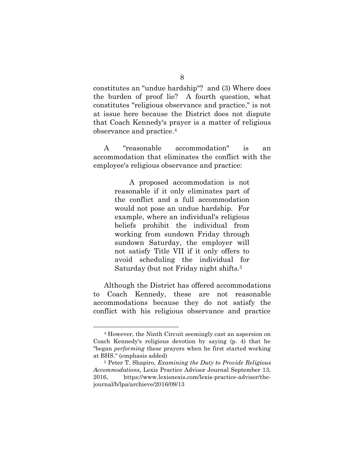constitutes an "undue hardship"? and (3) Where does the burden of proof lie? A fourth question, what constitutes "religious observance and practice," is not at issue here because the District does not dispute that Coach Kennedy's prayer is a matter of religious observance and practice.<sup>4</sup>

A "reasonable accommodation" is an accommodation that eliminates the conflict with the employee's religious observance and practice:

> A proposed accommodation is not reasonable if it only eliminates part of the conflict and a full accommodation would not pose an undue hardship. For example, where an individual's religious beliefs prohibit the individual from working from sundown Friday through sundown Saturday, the employer will not satisfy Title VII if it only offers to avoid scheduling the individual for Saturday (but not Friday night shifts.<sup>5</sup>

Although the District has offered accommodations to Coach Kennedy, these are not reasonable accommodations because they do not satisfy the conflict with his religious observance and practice

<sup>4</sup> However, the Ninth Circuit seemingly cast an aspersion on Coach Kennedy's religious devotion by saying (p. 4) that he "began *performing* these prayers when he first started working at BHS." (emphasis added)

<sup>5</sup> Peter T. Shapiro, *Examining the Duty to Provide Religious Accommodations,* Lexis Practice Advisor Journal September 13, 2016, https://www.lexisnexis.com/lexis-practice-advisor/thejournal/b/lpa/archieve/2016/09/13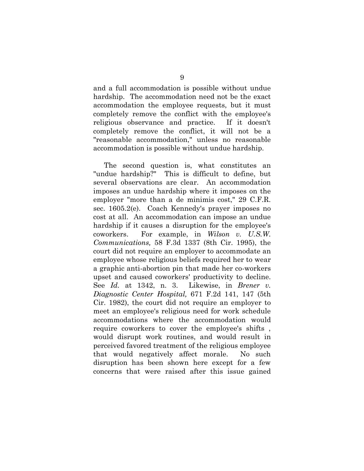and a full accommodation is possible without undue hardship. The accommodation need not be the exact accommodation the employee requests, but it must completely remove the conflict with the employee's religious observance and practice. If it doesn't completely remove the conflict, it will not be a "reasonable accommodation," unless no reasonable accommodation is possible without undue hardship.

The second question is, what constitutes an "undue hardship?" This is difficult to define, but several observations are clear. An accommodation imposes an undue hardship where it imposes on the employer "more than a de minimis cost," 29 C.F.R. sec. 1605.2(e). Coach Kennedy's prayer imposes no cost at all. An accommodation can impose an undue hardship if it causes a disruption for the employee's coworkers. For example, in *Wilson v. U.S.W. Communications,* 58 F.3d 1337 (8th Cir. 1995), the court did not require an employer to accommodate an employee whose religious beliefs required her to wear a graphic anti-abortion pin that made her co-workers upset and caused coworkers' productivity to decline. See *Id.* at 1342, n. 3. Likewise, in *Brener v. Diagnostic Center Hospital,* 671 F.2d 141, 147 (5th Cir. 1982), the court did not require an employer to meet an employee's religious need for work schedule accommodations where the accommodation would require coworkers to cover the employee's shifts , would disrupt work routines, and would result in perceived favored treatment of the religious employee that would negatively affect morale. No such disruption has been shown here except for a few concerns that were raised after this issue gained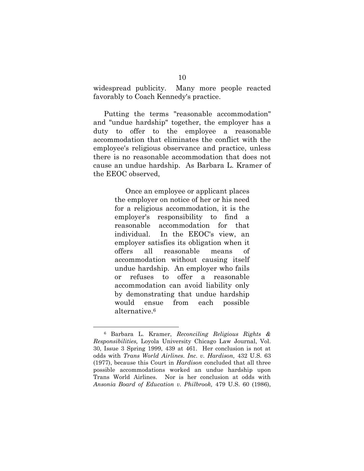widespread publicity. Many more people reacted favorably to Coach Kennedy's practice.

Putting the terms "reasonable accommodation" and "undue hardship" together, the employer has a duty to offer to the employee a reasonable accommodation that eliminates the conflict with the employee's religious observance and practice, unless there is no reasonable accommodation that does not cause an undue hardship. As Barbara L. Kramer of the EEOC observed,

> Once an employee or applicant places the employer on notice of her or his need for a religious accommodation, it is the employer's responsibility to find a reasonable accommodation for that individual. In the EEOC's view, an employer satisfies its obligation when it offers all reasonable means of accommodation without causing itself undue hardship. An employer who fails or refuses to offer a reasonable accommodation can avoid liability only by demonstrating that undue hardship would ensue from each possible alternative.<sup>6</sup>

<sup>6</sup> Barbara L. Kramer, *Reconciling Religious Rights & Responsibilities,* Loyola University Chicago Law Journal, Vol. 30, Issue 3 Spring 1999, 439 at 461. Her conclusion is not at odds with *Trans World Airlines. Inc. v. Hardison,* 432 U.S. 63 (1977), because this Court in *Hardison* concluded that all three possible accommodations worked an undue hardship upon Trans World Airlines. Nor is her conclusion at odds with *Ansonia Board of Education v. Philbrook,* 479 U.S. 60 (1986),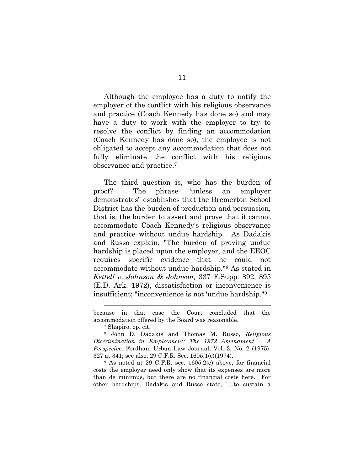Although the employee has a duty to notify the employer of the conflict with his religious observance and practice (Coach Kennedy has done so) and may have a duty to work with the employer to try to resolve the conflict by finding an accommodation (Coach Kennedy has done so), the employee is not obligated to accept any accommodation that does not fully eliminate the conflict with his religious observance and practice.<sup>7</sup>

The third question is, who has the burden of proof? The phrase "unless an employer demonstrates" establishes that the Bremerton School District has the burden of production and persuasion, that is, the burden to assert and prove that it cannot accommodate Coach Kennedy's religious observance and practice without undue hardship. As Dadakis and Russo explain, "The burden of proving undue hardship is placed upon the employer, and the EEOC requires specific evidence that he could not accommodate without undue hardship."<sup>8</sup> As stated in *Kettell v. Johnson & Johnson,* 337 F.Supp. 892, 895 (E.D. Ark. 1972), dissatisfaction or inconvenience is insufficient; "inconvenience is not 'undue hardship."<sup>9</sup>

<sup>7</sup> Shapiro, op. cit.

<sup>9</sup> As noted at 29 C.F.R. sec. 1605.2(e) above, for financial costs the employer need only show that its expenses are more than de minimus, but there are no financial costs here. For other hardships, Dadakis and Russo state, "...to sustain a

because in that case the Court concluded that the accommodation offered by the Board was reasonable.

<sup>8</sup> John D. Dadakis and Thomas M. Russo, *Religious Discrimination in Employment: The 1972 Amendment -- A Perspecive,* Fordham Urban Law Journal, Vol. 3, No. 2 (1975), 327 at 341; see also, 29 C.F.R. Sec. 1605.1(c)(1974).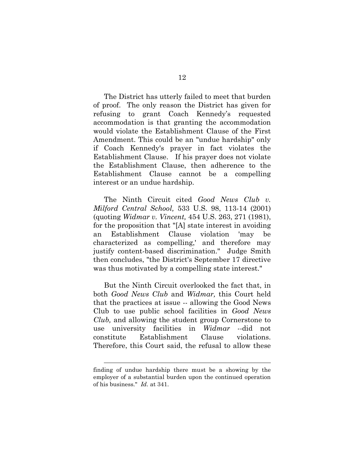The District has utterly failed to meet that burden of proof. The only reason the District has given for refusing to grant Coach Kennedy's requested accommodation is that granting the accommodation would violate the Establishment Clause of the First Amendment. This could be an "undue hardship" only if Coach Kennedy's prayer in fact violates the Establishment Clause. If his prayer does not violate the Establishment Clause, then adherence to the Establishment Clause cannot be a compelling interest or an undue hardship.

The Ninth Circuit cited *Good News Club v. Milford Central School,* 533 U.S. 98, 113-14 (2001) (quoting *Widmar v. Vincent,* 454 U.S. 263, 271 (1981), for the proposition that "[A] state interest in avoiding an Establishment Clause violation 'may be characterized as compelling,' and therefore may justify content-based discrimination." Judge Smith then concludes, "the District's September 17 directive was thus motivated by a compelling state interest."

But the Ninth Circuit overlooked the fact that, in both *Good News Club* and *Widmar,* this Court held that the practices at issue -- allowing the Good News Club to use public school facilities in *Good News Club,* and allowing the student group Cornerstone to use university facilities in *Widmar --*did not constitute Establishment Clause violations. Therefore, this Court said, the refusal to allow these

finding of undue hardship there must be a showing by the employer of a substantial burden upon the continued operation of his business." *Id.* at 341.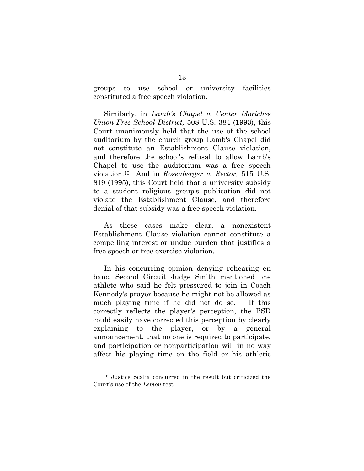groups to use school or university facilities constituted a free speech violation.

Similarly, in *Lamb's Chapel v. Center Moriches Union Free School District,* 508 U.S. 384 (1993), this Court unanimously held that the use of the school auditorium by the church group Lamb's Chapel did not constitute an Establishment Clause violation, and therefore the school's refusal to allow Lamb's Chapel to use the auditorium was a free speech violation.10 And in *Rosenberger v. Rector,* 515 U.S. 819 (1995), this Court held that a university subsidy to a student religious group's publication did not violate the Establishment Clause, and therefore denial of that subsidy was a free speech violation.

As these cases make clear, a nonexistent Establishment Clause violation cannot constitute a compelling interest or undue burden that justifies a free speech or free exercise violation.

In his concurring opinion denying rehearing en banc, Second Circuit Judge Smith mentioned one athlete who said he felt pressured to join in Coach Kennedy's prayer because he might not be allowed as much playing time if he did not do so. If this correctly reflects the player's perception, the BSD could easily have corrected this perception by clearly explaining to the player, or by a general announcement, that no one is required to participate, and participation or nonparticipation will in no way affect his playing time on the field or his athletic

<sup>10</sup> Justice Scalia concurred in the result but criticized the Court's use of the *Lemon* test.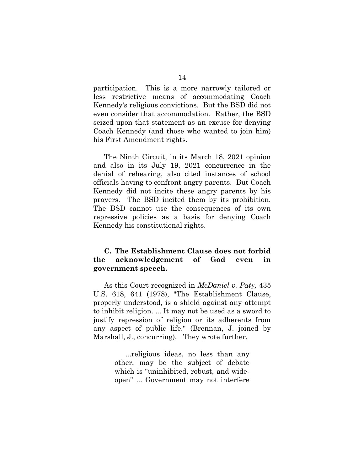participation. This is a more narrowly tailored or less restrictive means of accommodating Coach Kennedy's religious convictions. But the BSD did not even consider that accommodation. Rather, the BSD seized upon that statement as an excuse for denying Coach Kennedy (and those who wanted to join him) his First Amendment rights.

The Ninth Circuit, in its March 18, 2021 opinion and also in its July 19, 2021 concurrence in the denial of rehearing, also cited instances of school officials having to confront angry parents. But Coach Kennedy did not incite these angry parents by his prayers. The BSD incited them by its prohibition. The BSD cannot use the consequences of its own repressive policies as a basis for denying Coach Kennedy his constitutional rights.

### **C. The Establishment Clause does not forbid the acknowledgement of God even in government speech.**

As this Court recognized in *McDaniel v. Paty,* 435 U.S. 618, 641 (1978), "The Establishment Clause, properly understood, is a shield against any attempt to inhibit religion. ... It may not be used as a sword to justify repression of religion or its adherents from any aspect of public life." (Brennan, J. joined by Marshall, J., concurring). They wrote further,

> ...religious ideas, no less than any other, may be the subject of debate which is "uninhibited, robust, and wideopen" ... Government may not interfere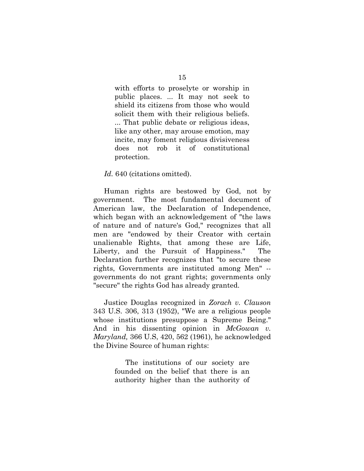with efforts to proselyte or worship in public places. ... It may not seek to shield its citizens from those who would solicit them with their religious beliefs. ... That public debate or religious ideas, like any other, may arouse emotion, may incite, may foment religious divisiveness does not rob it of constitutional protection.

#### Id. 640 (citations omitted).

Human rights are bestowed by God, not by government. The most fundamental document of American law, the Declaration of Independence, which began with an acknowledgement of "the laws of nature and of nature's God," recognizes that all men are "endowed by their Creator with certain unalienable Rights, that among these are Life, Liberty, and the Pursuit of Happiness." The Declaration further recognizes that "to secure these rights, Governments are instituted among Men" - governments do not grant rights; governments only "secure" the rights God has already granted.

Justice Douglas recognized in *Zorach v. Clauson*  343 U.S. 306, 313 (1952), "We are a religious people whose institutions presuppose a Supreme Being." And in his dissenting opinion in *McGowan v. Maryland,* 366 U.S, 420, 562 (1961)*,* he acknowledged the Divine Source of human rights:

> The institutions of our society are founded on the belief that there is an authority higher than the authority of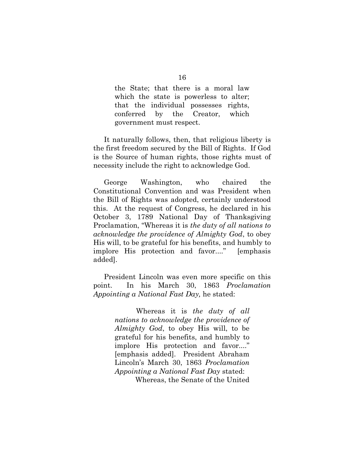the State; that there is a moral law which the state is powerless to alter; that the individual possesses rights, conferred by the Creator, which government must respect.

It naturally follows, then, that religious liberty is the first freedom secured by the Bill of Rights. If God is the Source of human rights, those rights must of necessity include the right to acknowledge God.

George Washington, who chaired the Constitutional Convention and was President when the Bill of Rights was adopted, certainly understood this. At the request of Congress, he declared in his October 3, 1789 National Day of Thanksgiving Proclamation, "Whereas it is *the duty of all nations to acknowledge the providence of Almighty God*, to obey His will, to be grateful for his benefits, and humbly to implore His protection and favor...." [emphasis added].

President Lincoln was even more specific on this point. In his March 30, 1863 *Proclamation Appointing a National Fast Day,* he stated:

> Whereas it is *the duty of all nations to acknowledge the providence of Almighty God*, to obey His will, to be grateful for his benefits, and humbly to implore His protection and favor...." [emphasis added]. President Abraham Lincoln's March 30, 1863 *Proclamation Appointing a National Fast Day* stated: Whereas, the Senate of the United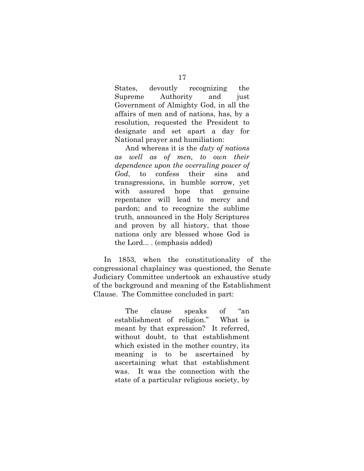States, devoutly recognizing the Supreme Authority and just Government of Almighty God, in all the affairs of men and of nations, has, by a resolution, requested the President to designate and set apart a day for National prayer and humiliation:

And whereas it is the *duty of nations as well as of men, to own their dependence upon the overruling power of God*, to confess their sins and transgressions, in humble sorrow, yet with assured hope that genuine repentance will lead to mercy and pardon; and to recognize the sublime truth, announced in the Holy Scriptures and proven by all history, that those nations only are blessed whose God is the Lord... . (emphasis added)

In 1853, when the constitutionality of the congressional chaplaincy was questioned, the Senate Judiciary Committee undertook an exhaustive study of the background and meaning of the Establishment Clause. The Committee concluded in part:

> The clause speaks of "an establishment of religion." What is meant by that expression? It referred, without doubt, to that establishment which existed in the mother country, its meaning is to be ascertained by ascertaining what that establishment was. It was the connection with the state of a particular religious society, by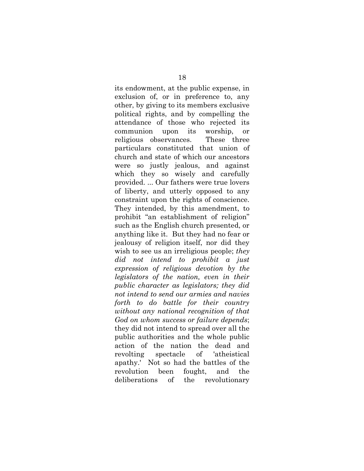its endowment, at the public expense, in exclusion of, or in preference to, any other, by giving to its members exclusive political rights, and by compelling the attendance of those who rejected its communion upon its worship, or religious observances. These three particulars constituted that union of church and state of which our ancestors were so justly jealous, and against which they so wisely and carefully provided. ... Our fathers were true lovers of liberty, and utterly opposed to any constraint upon the rights of conscience. They intended, by this amendment, to prohibit "an establishment of religion" such as the English church presented, or anything like it. But they had no fear or jealousy of religion itself, nor did they wish to see us an irreligious people; *they did not intend to prohibit a just expression of religious devotion by the legislators of the nation, even in their public character as legislators; they did not intend to send our armies and navies forth to do battle for their country without any national recognition of that God on whom success or failure depends*; they did not intend to spread over all the public authorities and the whole public action of the nation the dead and revolting spectacle of 'atheistical apathy.' Not so had the battles of the revolution been fought, and the deliberations of the revolutionary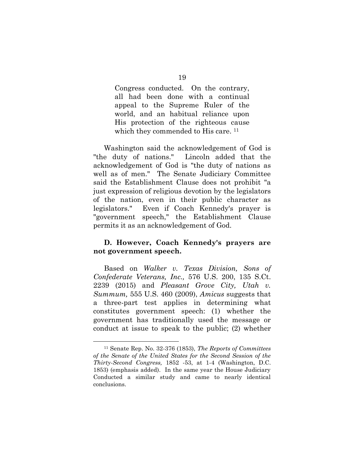Congress conducted. On the contrary, all had been done with a continual appeal to the Supreme Ruler of the world, and an habitual reliance upon His protection of the righteous cause which they commended to His care.<sup>11</sup>

Washington said the acknowledgement of God is "the duty of nations." Lincoln added that the acknowledgement of God is "the duty of nations as well as of men." The Senate Judiciary Committee said the Establishment Clause does not prohibit "a just expression of religious devotion by the legislators of the nation, even in their public character as legislators." Even if Coach Kennedy's prayer is "government speech," the Establishment Clause permits it as an acknowledgement of God.

## **D. However, Coach Kennedy's prayers are not government speech.**

Based on *Walker v. Texas Division, Sons of Confederate Veterans, Inc.,* 576 U.S. 200, 135 S.Ct. 2239 (2015) and *Pleasant Grove City, Utah v. Summum,* 555 U.S. 460 (2009), *Amicus* suggests that a three-part test applies in determining what constitutes government speech: (1) whether the government has traditionally used the message or conduct at issue to speak to the public; (2) whether

<sup>11</sup> Senate Rep. No. 32-376 (1853), *The Reports of Committees of the Senate of the United States for the Second Session of the Thirty-Second Congress,* 1852 -53, at 1-4 (Washington, D.C. 1853) (emphasis added). In the same year the House Judiciary Conducted a similar study and came to nearly identical conclusions.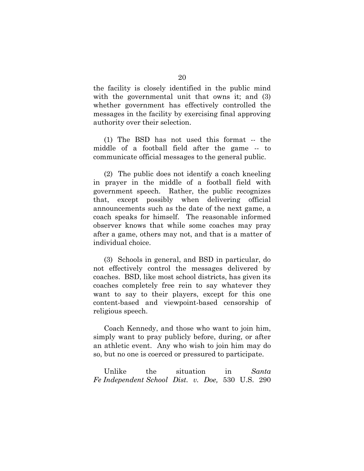the facility is closely identified in the public mind with the governmental unit that owns it; and (3) whether government has effectively controlled the messages in the facility by exercising final approving authority over their selection.

(1) The BSD has not used this format -- the middle of a football field after the game -- to communicate official messages to the general public.

(2) The public does not identify a coach kneeling in prayer in the middle of a football field with government speech. Rather, the public recognizes that, except possibly when delivering official announcements such as the date of the next game, a coach speaks for himself. The reasonable informed observer knows that while some coaches may pray after a game, others may not, and that is a matter of individual choice.

(3) Schools in general, and BSD in particular, do not effectively control the messages delivered by coaches. BSD, like most school districts, has given its coaches completely free rein to say whatever they want to say to their players, except for this one content-based and viewpoint-based censorship of religious speech.

Coach Kennedy, and those who want to join him, simply want to pray publicly before, during, or after an athletic event. Any who wish to join him may do so, but no one is coerced or pressured to participate.

Unlike the situation in *Santa Fe Independent School Dist. v. Doe,* 530 U.S. 290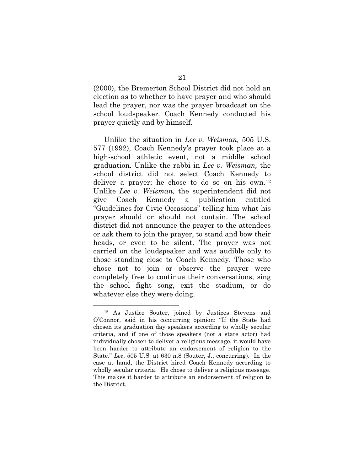(2000), the Bremerton School District did not hold an election as to whether to have prayer and who should lead the prayer, nor was the prayer broadcast on the school loudspeaker. Coach Kennedy conducted his prayer quietly and by himself.

Unlike the situation in *Lee v. Weisman,* 505 U.S. 577 (1992), Coach Kennedy's prayer took place at a high-school athletic event, not a middle school graduation. Unlike the rabbi in *Lee v. Weisman,* the school district did not select Coach Kennedy to deliver a prayer; he chose to do so on his own.<sup>12</sup> Unlike *Lee v. Weisman,* the superintendent did not give Coach Kennedy a publication entitled "Guidelines for Civic Occasions" telling him what his prayer should or should not contain. The school district did not announce the prayer to the attendees or ask them to join the prayer, to stand and bow their heads, or even to be silent. The prayer was not carried on the loudspeaker and was audible only to those standing close to Coach Kennedy. Those who chose not to join or observe the prayer were completely free to continue their conversations, sing the school fight song, exit the stadium, or do whatever else they were doing.

<sup>12</sup> As Justice Souter, joined by Justices Stevens and O'Connor, said in his concurring opinion: "If the State had chosen its graduation day speakers according to wholly secular criteria, and if one of those speakers (not a state actor) had individually chosen to deliver a religious message, it would have been harder to attribute an endorsement of religion to the State." *Lee*, 505 U.S. at 630 n.8 (Souter, J., concurring). In the case at hand, the District hired Coach Kennedy according to wholly secular criteria. He chose to deliver a religious message. This makes it harder to attribute an endorsement of religion to the District.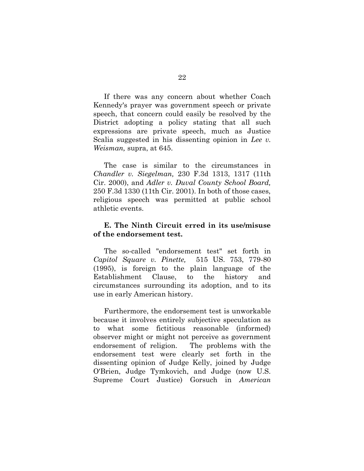If there was any concern about whether Coach Kennedy's prayer was government speech or private speech, that concern could easily be resolved by the District adopting a policy stating that all such expressions are private speech, much as Justice Scalia suggested in his dissenting opinion in *Lee v. Weisman,* supra, at 645.

The case is similar to the circumstances in *Chandler v. Siegelman,* 230 F.3d 1313, 1317 (11th Cir. 2000), and *Adler v. Duval County School Board,*  250 F.3d 1330 (11th Cir. 2001). In both of those cases, religious speech was permitted at public school athletic events.

## **E. The Ninth Circuit erred in its use/misuse of the endorsement test.**

The so-called "endorsement test" set forth in *Capitol Square v. Pinette,* 515 US. 753, 779-80 (1995), is foreign to the plain language of the Establishment Clause, to the history and circumstances surrounding its adoption, and to its use in early American history.

Furthermore, the endorsement test is unworkable because it involves entirely subjective speculation as to what some fictitious reasonable (informed) observer might or might not perceive as government endorsement of religion. The problems with the endorsement test were clearly set forth in the dissenting opinion of Judge Kelly, joined by Judge O'Brien, Judge Tymkovich, and Judge (now U.S. Supreme Court Justice) Gorsuch in *American*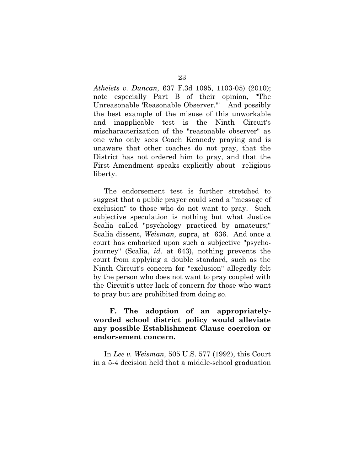*Atheists v. Duncan,* 637 F.3d 1095, 1103-05) (2010); note especially Part B of their opinion, "The Unreasonable 'Reasonable Observer.'" And possibly the best example of the misuse of this unworkable and inapplicable test is the Ninth Circuit's mischaracterization of the "reasonable observer" as one who only sees Coach Kennedy praying and is unaware that other coaches do not pray, that the District has not ordered him to pray, and that the First Amendment speaks explicitly about religious liberty.

The endorsement test is further stretched to suggest that a public prayer could send a "message of exclusion" to those who do not want to pray. Such subjective speculation is nothing but what Justice Scalia called "psychology practiced by amateurs;" Scalia dissent, *Weisman,* supra, at 636. And once a court has embarked upon such a subjective "psychojourney" (Scalia, *id.* at 643), nothing prevents the court from applying a double standard, such as the Ninth Circuit's concern for "exclusion" allegedly felt by the person who does not want to pray coupled with the Circuit's utter lack of concern for those who want to pray but are prohibited from doing so.

**F. The adoption of an appropriatelyworded school district policy would alleviate any possible Establishment Clause coercion or endorsement concern.**

In *Lee v. Weisman,* 505 U.S. 577 (1992), this Court in a 5-4 decision held that a middle-school graduation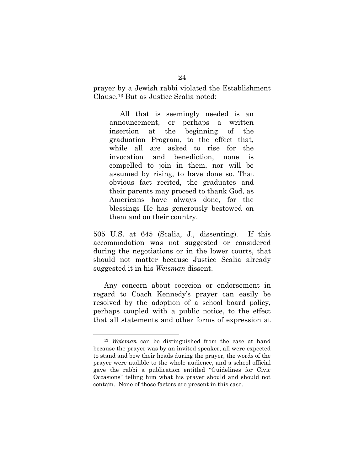prayer by a Jewish rabbi violated the Establishment Clause.<sup>13</sup> But as Justice Scalia noted:

All that is seemingly needed is an announcement, or perhaps a written insertion at the beginning of the graduation Program, to the effect that, while all are asked to rise for the invocation and benediction, none is compelled to join in them, nor will be assumed by rising, to have done so. That obvious fact recited, the graduates and their parents may proceed to thank God, as Americans have always done, for the blessings He has generously bestowed on them and on their country.

505 U.S. at 645 (Scalia, J., dissenting). If this accommodation was not suggested or considered during the negotiations or in the lower courts, that should not matter because Justice Scalia already suggested it in his *Weisman* dissent.

Any concern about coercion or endorsement in regard to Coach Kennedy's prayer can easily be resolved by the adoption of a school board policy, perhaps coupled with a public notice, to the effect that all statements and other forms of expression at

<sup>13</sup> *Weisman* can be distinguished from the case at hand because the prayer was by an invited speaker, all were expected to stand and bow their heads during the prayer, the words of the prayer were audible to the whole audience, and a school official gave the rabbi a publication entitled "Guidelines for Civic Occasions" telling him what his prayer should and should not contain. None of those factors are present in this case.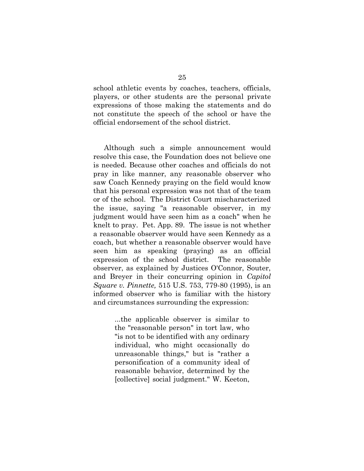school athletic events by coaches, teachers, officials, players, or other students are the personal private expressions of those making the statements and do not constitute the speech of the school or have the official endorsement of the school district.

Although such a simple announcement would resolve this case, the Foundation does not believe one is needed. Because other coaches and officials do not pray in like manner, any reasonable observer who saw Coach Kennedy praying on the field would know that his personal expression was not that of the team or of the school. The District Court mischaracterized the issue, saying "a reasonable observer, in my judgment would have seen him as a coach" when he knelt to pray. Pet. App. 89. The issue is not whether a reasonable observer would have seen Kennedy as a coach, but whether a reasonable observer would have seen him as speaking (praying) as an official expression of the school district. The reasonable observer, as explained by Justices O'Connor, Souter, and Breyer in their concurring opinion in *Capitol Square v. Pinnette,* 515 U.S. 753, 779-80 (1995), is an informed observer who is familiar with the history and circumstances surrounding the expression:

> ...the applicable observer is similar to the "reasonable person" in tort law, who "is not to be identified with any ordinary individual, who might occasionally do unreasonable things," but is "rather a personification of a community ideal of reasonable behavior, determined by the [collective] social judgment." W. Keeton,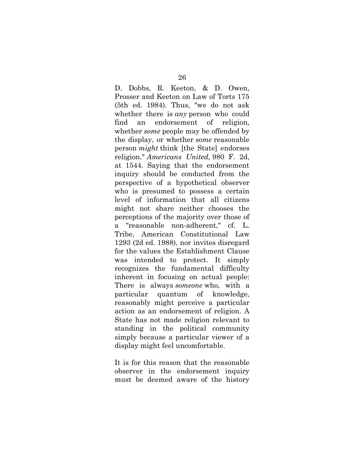D. Dobbs, R. Keeton, & D. Owen, Prosser and Keeton on Law of Torts 175 (5th ed. 1984). Thus, "we do not ask whether there is *any* person who could find an endorsement of religion, whether *some* people may be offended by the display, or whether *some* reasonable person *might* think [the State] endorses religion." *Americans United,* 980 F. 2d, at 1544. Saying that the endorsement inquiry should be conducted from the perspective of a hypothetical observer who is presumed to possess a certain level of information that all citizens might not share neither chooses the perceptions of the majority over those of a "reasonable non-adherent," cf. L. Tribe, American Constitutional Law 1293 (2d ed. 1988), nor invites disregard for the values the Establishment Clause was intended to protect. It simply recognizes the fundamental difficulty inherent in focusing on actual people: There is always *someone* who, with a particular quantum of knowledge, reasonably might perceive a particular action as an endorsement of religion. A State has not made religion relevant to standing in the political community simply because a particular viewer of a display might feel uncomfortable.

It is for this reason that the reasonable observer in the endorsement inquiry must be deemed aware of the history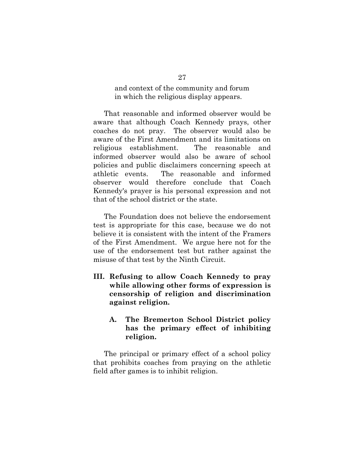and context of the community and forum in which the religious display appears.

That reasonable and informed observer would be aware that although Coach Kennedy prays, other coaches do not pray. The observer would also be aware of the First Amendment and its limitations on religious establishment. The reasonable and informed observer would also be aware of school policies and public disclaimers concerning speech at athletic events. The reasonable and informed observer would therefore conclude that Coach Kennedy's prayer is his personal expression and not that of the school district or the state.

The Foundation does not believe the endorsement test is appropriate for this case, because we do not believe it is consistent with the intent of the Framers of the First Amendment. We argue here not for the use of the endorsement test but rather against the misuse of that test by the Ninth Circuit.

- **III. Refusing to allow Coach Kennedy to pray while allowing other forms of expression is censorship of religion and discrimination against religion.**
	- **A. The Bremerton School District policy has the primary effect of inhibiting religion.**

The principal or primary effect of a school policy that prohibits coaches from praying on the athletic field after games is to inhibit religion.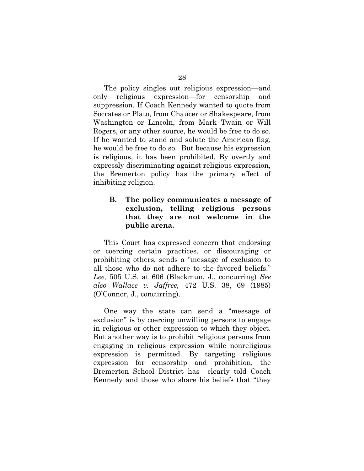The policy singles out religious expression—and only religious expression—for censorship and suppression. If Coach Kennedy wanted to quote from Socrates or Plato, from Chaucer or Shakespeare, from Washington or Lincoln, from Mark Twain or Will Rogers, or any other source, he would be free to do so. If he wanted to stand and salute the American flag, he would be free to do so. But because his expression is religious, it has been prohibited. By overtly and expressly discriminating against religious expression, the Bremerton policy has the primary effect of inhibiting religion.

## **B. The policy communicates a message of exclusion, telling religious persons that they are not welcome in the public arena.**

This Court has expressed concern that endorsing or coercing certain practices, or discouraging or prohibiting others, sends a "message of exclusion to all those who do not adhere to the favored beliefs." *Lee,* 505 U.S. at 606 (Blackmun, J., concurring) *See also Wallace v. Jaffree,* 472 U.S. 38, 69 (1985) (O'Connor, J., concurring).

One way the state can send a "message of exclusion" is by coercing unwilling persons to engage in religious or other expression to which they object. But another way is to prohibit religious persons from engaging in religious expression while nonreligious expression is permitted. By targeting religious expression for censorship and prohibition, the Bremerton School District has clearly told Coach Kennedy and those who share his beliefs that "they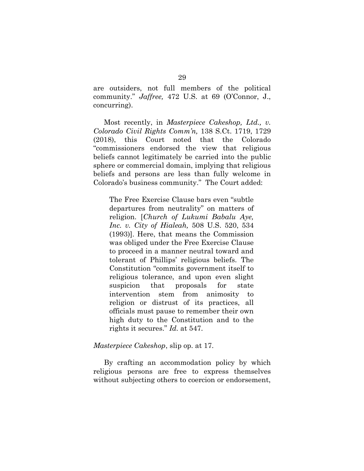are outsiders, not full members of the political community." *Jaffree,* 472 U.S. at 69 (O'Connor, J., concurring).

Most recently, in *Masterpiece Cakeshop, Ltd., v. Colorado Civil Rights Comm'n,* 138 S.Ct. 1719, 1729 (2018), this Court noted that the Colorado "commissioners endorsed the view that religious beliefs cannot legitimately be carried into the public sphere or commercial domain, implying that religious beliefs and persons are less than fully welcome in Colorado's business community." The Court added:

The Free Exercise Clause bars even "subtle departures from neutrality" on matters of religion. [*Church of Lukumi Babalu Aye, Inc. v. City of Hialeah,* 508 U.S. 520, 534 (1993)]. Here, that means the Commission was obliged under the Free Exercise Clause to proceed in a manner neutral toward and tolerant of Phillips' religious beliefs. The Constitution "commits government itself to religious tolerance, and upon even slight suspicion that proposals for state intervention stem from animosity to religion or distrust of its practices, all officials must pause to remember their own high duty to the Constitution and to the rights it secures." *Id.* at 547.

#### *Masterpiece Cakeshop*, slip op. at 17.

By crafting an accommodation policy by which religious persons are free to express themselves without subjecting others to coercion or endorsement,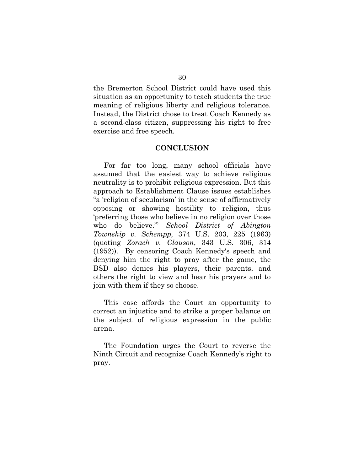the Bremerton School District could have used this situation as an opportunity to teach students the true meaning of religious liberty and religious tolerance. Instead, the District chose to treat Coach Kennedy as a second-class citizen, suppressing his right to free exercise and free speech.

### **CONCLUSION**

For far too long, many school officials have assumed that the easiest way to achieve religious neutrality is to prohibit religious expression. But this approach to Establishment Clause issues establishes "a 'religion of secularism' in the sense of affirmatively opposing or showing hostility to religion, thus 'preferring those who believe in no religion over those who do believe.'" *School District of Abington Township v. Schempp,* 374 U.S. 203, 225 (1963) (quoting *Zorach v. Clauson*, 343 U.S. 306, 314 (1952)). By censoring Coach Kennedy's speech and denying him the right to pray after the game, the BSD also denies his players, their parents, and others the right to view and hear his prayers and to join with them if they so choose.

This case affords the Court an opportunity to correct an injustice and to strike a proper balance on the subject of religious expression in the public arena.

The Foundation urges the Court to reverse the Ninth Circuit and recognize Coach Kennedy's right to pray.